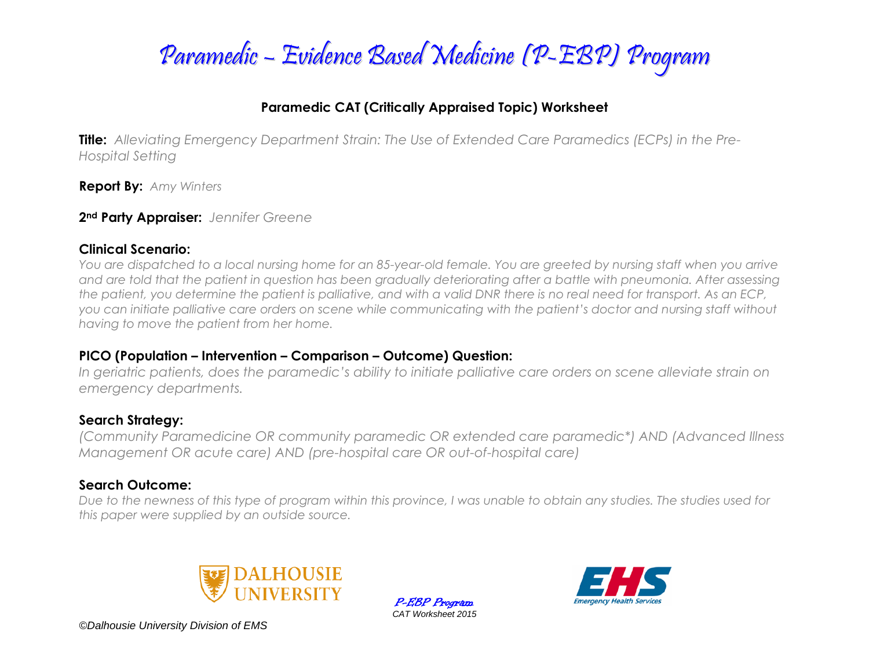

### **Paramedic CAT (Critically Appraised Topic) Worksheet**

**Title:** *Alleviating Emergency Department Strain: The Use of Extended Care Paramedics (ECPs) in the Pre-Hospital Setting*

**Report By:** *Amy Winters*

**2nd Party Appraiser:** *Jennifer Greene*

#### **Clinical Scenario:**

*You are dispatched to a local nursing home for an 85-year-old female. You are greeted by nursing staff when you arrive and are told that the patient in question has been gradually deteriorating after a battle with pneumonia. After assessing the patient, you determine the patient is palliative, and with a valid DNR there is no real need for transport. As an ECP, you can initiate palliative care orders on scene while communicating with the patient's doctor and nursing staff without having to move the patient from her home.*

### **PICO (Population – Intervention – Comparison – Outcome) Question:**

*In geriatric patients, does the paramedic's ability to initiate palliative care orders on scene alleviate strain on emergency departments.* 

### **Search Strategy:**

*(Community Paramedicine OR community paramedic OR extended care paramedic\*) AND (Advanced Illness Management OR acute care) AND (pre-hospital care OR out-of-hospital care)*

### **Search Outcome:**

*Due to the newness of this type of program within this province, I was unable to obtain any studies. The studies used for this paper were supplied by an outside source.*



P-EBP Program *CAT Worksheet 2015*



*©Dalhousie University Division of EMS*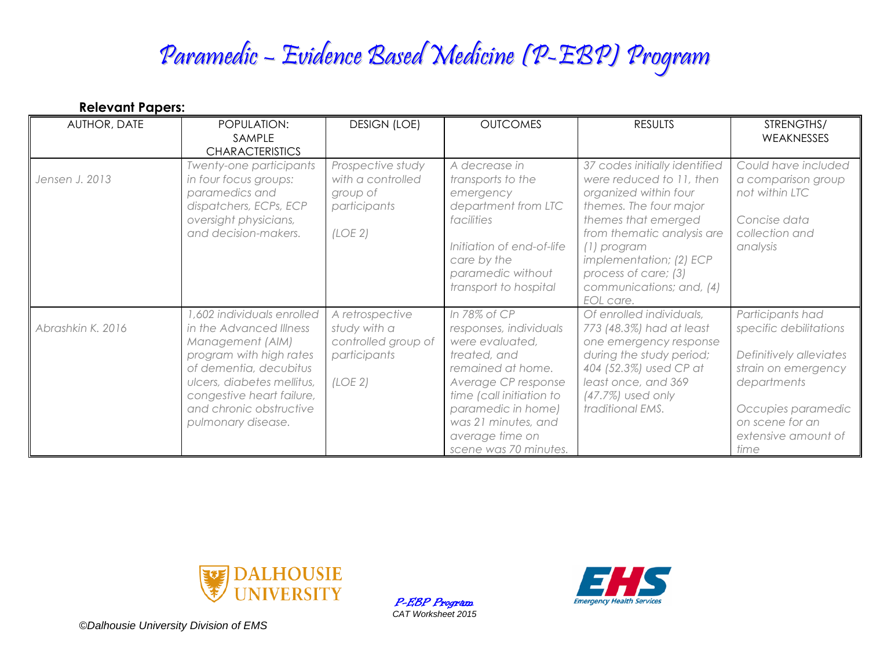# Paramedic – Evidence Based Medicine (P-EBP) Program

| <b>Relevant Papers:</b><br>AUTHOR, DATE | POPULATION:                                                                                                                                                                                                                               | <b>DESIGN (LOE)</b>                                                               | <b>OUTCOMES</b>                                                                                                                                                                                                                            | <b>RESULTS</b>                                                                                                                                                                                                                                                               | STRENGTHS/                                                                                                                                                                          |
|-----------------------------------------|-------------------------------------------------------------------------------------------------------------------------------------------------------------------------------------------------------------------------------------------|-----------------------------------------------------------------------------------|--------------------------------------------------------------------------------------------------------------------------------------------------------------------------------------------------------------------------------------------|------------------------------------------------------------------------------------------------------------------------------------------------------------------------------------------------------------------------------------------------------------------------------|-------------------------------------------------------------------------------------------------------------------------------------------------------------------------------------|
|                                         | SAMPLE<br><b>CHARACTERISTICS</b>                                                                                                                                                                                                          |                                                                                   |                                                                                                                                                                                                                                            |                                                                                                                                                                                                                                                                              | WEAKNESSES                                                                                                                                                                          |
| Jensen J. 2013                          | Twenty-one participants<br>in four focus groups:<br>paramedics and<br>dispatchers, ECPs, ECP<br>oversight physicians,<br>and decision-makers.                                                                                             | Prospective study<br>with a controlled<br>group of<br>participants<br>(LOE 2)     | A decrease in<br>transports to the<br>emergency<br>department from LTC<br>facilities<br>Initiation of end-of-life<br>care by the<br>paramedic without<br>transport to hospital                                                             | 37 codes initially identified<br>were reduced to 11, then<br>organized within four<br>themes. The four major<br>themes that emerged<br>from thematic analysis are<br>(1) program<br>implementation; (2) ECP<br>process of care; (3)<br>communications; and, (4)<br>EOL care. | Could have included<br>a comparison group<br>not within LTC<br>Concise data<br>collection and<br>analysis                                                                           |
| Abrashkin K. 2016                       | ,602 individuals enrolled<br>in the Advanced Illness<br>Management (AIM)<br>program with high rates<br>of dementia, decubitus<br>ulcers, diabetes mellitus,<br>congestive heart failure,<br>and chronic obstructive<br>pulmonary disease. | A retrospective<br>study with a<br>controlled group of<br>participants<br>(LOE 2) | In 78% of CP<br>responses, individuals<br>were evaluated,<br>treated, and<br>remained at home.<br>Average CP response<br>time (call initiation to<br>paramedic in home)<br>was 21 minutes, and<br>average time on<br>scene was 70 minutes. | Of enrolled individuals,<br>773 (48.3%) had at least<br>one emergency response<br>during the study period;<br>404 (52.3%) used CP at<br>least once, and 369<br>$(47.7%)$ used only<br>traditional EMS.                                                                       | Participants had<br>specific debilitations<br>Definitively alleviates<br>strain on emergency<br>departments<br>Occupies paramedic<br>on scene for an<br>extensive amount of<br>time |



P-EBP Program *CAT Worksheet 2015*



*©Dalhousie University Division of EMS*